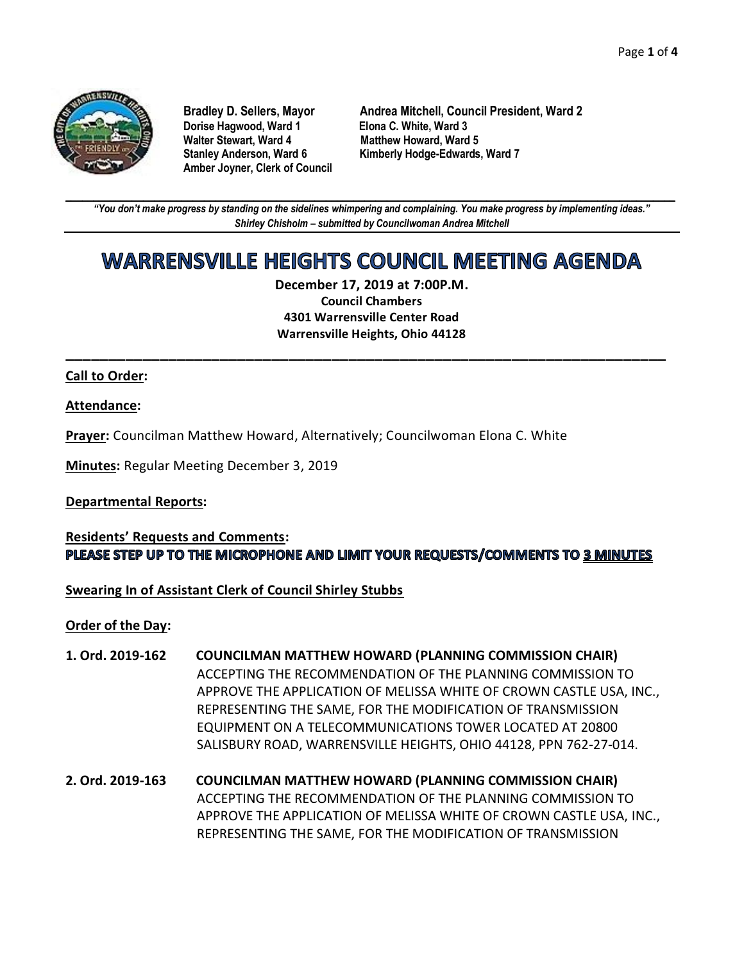

**Dorise Hagwood, Ward 1 Elona C. White, Ward 3 Amber Joyner, Clerk of Council**

**Bradley D. Sellers, Mayor Andrea Mitchell, Council President, Ward 2 Matthew Howard, Ward 5 Stanley Anderson, Ward 6 Kimberly Hodge-Edwards, Ward 7**

**\_\_\_\_\_\_\_\_\_\_\_\_\_\_\_\_\_\_\_\_\_\_\_\_\_\_\_\_\_\_\_\_\_\_\_\_\_\_\_\_\_\_\_\_\_\_\_\_\_\_\_\_\_\_\_\_\_\_\_\_\_\_\_\_\_\_\_\_\_\_\_\_\_\_\_\_\_\_\_\_\_\_\_\_\_\_\_\_\_\_\_\_\_\_\_\_\_\_\_\_\_\_\_\_\_\_\_\_\_\_** *"You don't make progress by standing on the sidelines whimpering and complaining. You make progress by implementing ideas." Shirley Chisholm – submitted by Councilwoman Andrea Mitchell*

# WARRENSVILLE HEIGHTS COUNCIL MEETING AGENDA

**December 17, 2019 at 7:00P.M. Council Chambers 4301 Warrensville Center Road Warrensville Heights, Ohio 44128**

**\_\_\_\_\_\_\_\_\_\_\_\_\_\_\_\_\_\_\_\_\_\_\_\_\_\_\_\_\_\_\_\_\_\_\_\_\_\_\_\_\_\_\_\_\_\_\_\_\_\_\_\_\_\_\_\_\_\_\_\_\_\_\_\_\_\_\_\_\_\_**

### **Call to Order:**

### **Attendance:**

**Prayer:** Councilman Matthew Howard, Alternatively; Councilwoman Elona C. White

**Minutes:** Regular Meeting December 3, 2019

## **Departmental Reports:**

## **Residents' Requests and Comments:** PLEASE STEP UP TO THE MICROPHONE AND LIMIT YOUR REQUESTS/COMMENTS TO 3 MINUTES

## **Swearing In of Assistant Clerk of Council Shirley Stubbs**

**Order of the Day:**

- **1. Ord. 2019-162 COUNCILMAN MATTHEW HOWARD (PLANNING COMMISSION CHAIR)** ACCEPTING THE RECOMMENDATION OF THE PLANNING COMMISSION TO APPROVE THE APPLICATION OF MELISSA WHITE OF CROWN CASTLE USA, INC., REPRESENTING THE SAME, FOR THE MODIFICATION OF TRANSMISSION EQUIPMENT ON A TELECOMMUNICATIONS TOWER LOCATED AT 20800 SALISBURY ROAD, WARRENSVILLE HEIGHTS, OHIO 44128, PPN 762-27-014.
- **2. Ord. 2019-163 COUNCILMAN MATTHEW HOWARD (PLANNING COMMISSION CHAIR)** ACCEPTING THE RECOMMENDATION OF THE PLANNING COMMISSION TO APPROVE THE APPLICATION OF MELISSA WHITE OF CROWN CASTLE USA, INC., REPRESENTING THE SAME, FOR THE MODIFICATION OF TRANSMISSION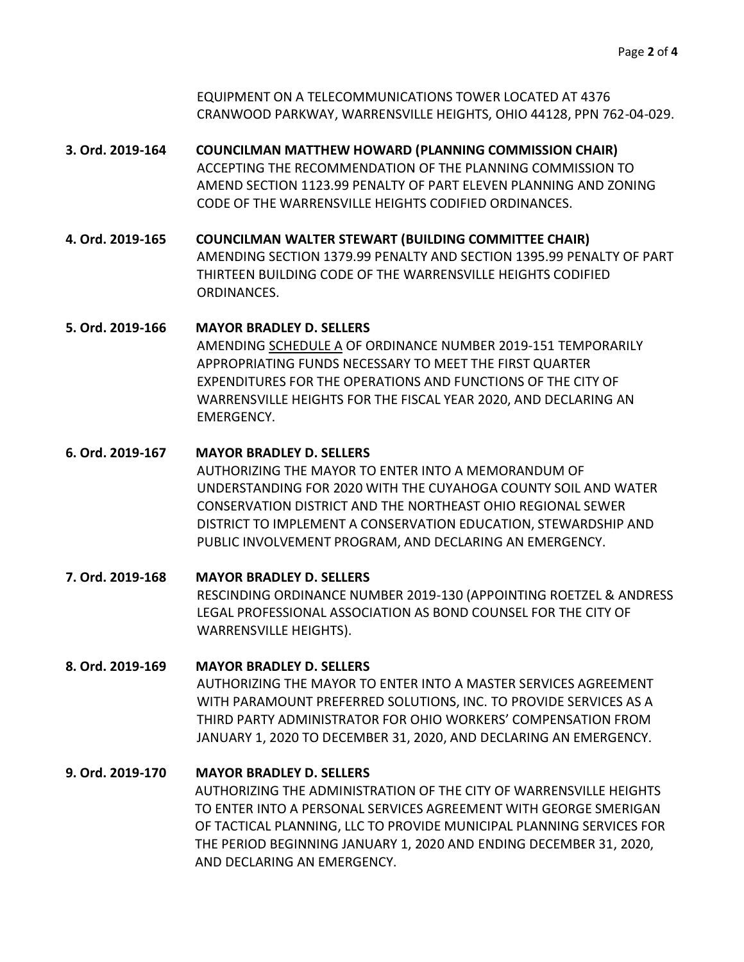EQUIPMENT ON A TELECOMMUNICATIONS TOWER LOCATED AT 4376 CRANWOOD PARKWAY, WARRENSVILLE HEIGHTS, OHIO 44128, PPN 762-04-029.

- **3. Ord. 2019-164 COUNCILMAN MATTHEW HOWARD (PLANNING COMMISSION CHAIR)** ACCEPTING THE RECOMMENDATION OF THE PLANNING COMMISSION TO AMEND SECTION 1123.99 PENALTY OF PART ELEVEN PLANNING AND ZONING CODE OF THE WARRENSVILLE HEIGHTS CODIFIED ORDINANCES.
- **4. Ord. 2019-165 COUNCILMAN WALTER STEWART (BUILDING COMMITTEE CHAIR)** AMENDING SECTION 1379.99 PENALTY AND SECTION 1395.99 PENALTY OF PART THIRTEEN BUILDING CODE OF THE WARRENSVILLE HEIGHTS CODIFIED ORDINANCES.

# **5. Ord. 2019-166 MAYOR BRADLEY D. SELLERS** AMENDING SCHEDULE A OF ORDINANCE NUMBER 2019-151 TEMPORARILY APPROPRIATING FUNDS NECESSARY TO MEET THE FIRST QUARTER EXPENDITURES FOR THE OPERATIONS AND FUNCTIONS OF THE CITY OF WARRENSVILLE HEIGHTS FOR THE FISCAL YEAR 2020, AND DECLARING AN EMERGENCY.

- **6. Ord. 2019-167 MAYOR BRADLEY D. SELLERS** AUTHORIZING THE MAYOR TO ENTER INTO A MEMORANDUM OF UNDERSTANDING FOR 2020 WITH THE CUYAHOGA COUNTY SOIL AND WATER CONSERVATION DISTRICT AND THE NORTHEAST OHIO REGIONAL SEWER DISTRICT TO IMPLEMENT A CONSERVATION EDUCATION, STEWARDSHIP AND PUBLIC INVOLVEMENT PROGRAM, AND DECLARING AN EMERGENCY. **7. Ord. 2019-168 MAYOR BRADLEY D. SELLERS**
	- RESCINDING ORDINANCE NUMBER 2019-130 (APPOINTING ROETZEL & ANDRESS LEGAL PROFESSIONAL ASSOCIATION AS BOND COUNSEL FOR THE CITY OF WARRENSVILLE HEIGHTS).

# **8. Ord. 2019-169 MAYOR BRADLEY D. SELLERS** AUTHORIZING THE MAYOR TO ENTER INTO A MASTER SERVICES AGREEMENT WITH PARAMOUNT PREFERRED SOLUTIONS, INC. TO PROVIDE SERVICES AS A THIRD PARTY ADMINISTRATOR FOR OHIO WORKERS' COMPENSATION FROM JANUARY 1, 2020 TO DECEMBER 31, 2020, AND DECLARING AN EMERGENCY.

# **9. Ord. 2019-170 MAYOR BRADLEY D. SELLERS** AUTHORIZING THE ADMINISTRATION OF THE CITY OF WARRENSVILLE HEIGHTS TO ENTER INTO A PERSONAL SERVICES AGREEMENT WITH GEORGE SMERIGAN OF TACTICAL PLANNING, LLC TO PROVIDE MUNICIPAL PLANNING SERVICES FOR THE PERIOD BEGINNING JANUARY 1, 2020 AND ENDING DECEMBER 31, 2020, AND DECLARING AN EMERGENCY.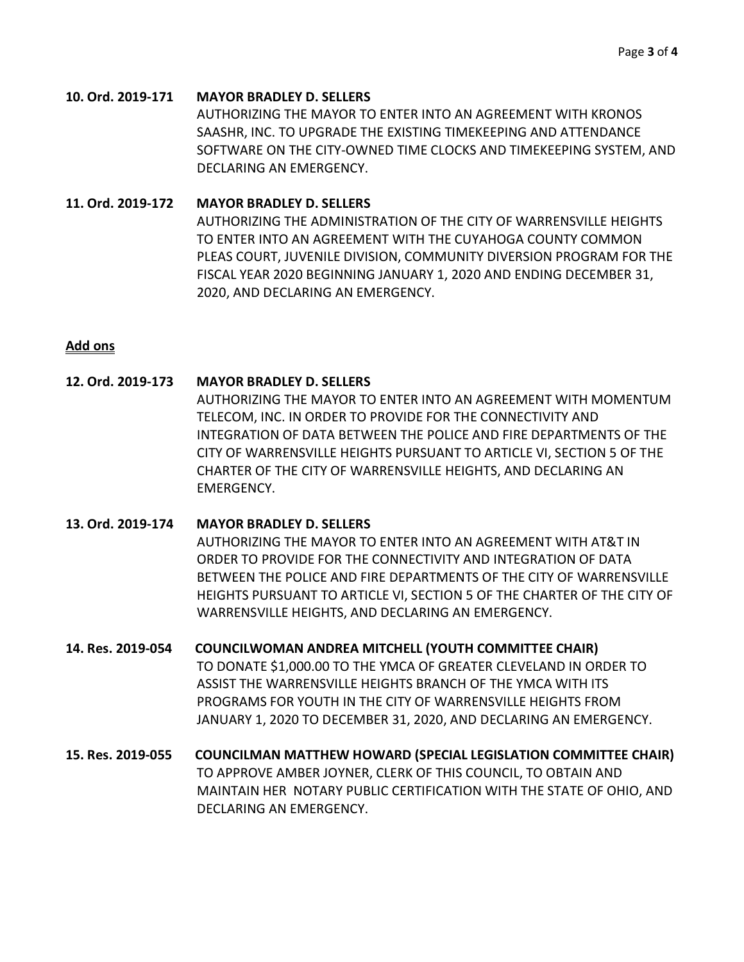#### **10. Ord. 2019-171 MAYOR BRADLEY D. SELLERS**

AUTHORIZING THE MAYOR TO ENTER INTO AN AGREEMENT WITH KRONOS SAASHR, INC. TO UPGRADE THE EXISTING TIMEKEEPING AND ATTENDANCE SOFTWARE ON THE CITY-OWNED TIME CLOCKS AND TIMEKEEPING SYSTEM, AND DECLARING AN EMERGENCY.

### **11. Ord. 2019-172 MAYOR BRADLEY D. SELLERS**

AUTHORIZING THE ADMINISTRATION OF THE CITY OF WARRENSVILLE HEIGHTS TO ENTER INTO AN AGREEMENT WITH THE CUYAHOGA COUNTY COMMON PLEAS COURT, JUVENILE DIVISION, COMMUNITY DIVERSION PROGRAM FOR THE FISCAL YEAR 2020 BEGINNING JANUARY 1, 2020 AND ENDING DECEMBER 31, 2020, AND DECLARING AN EMERGENCY.

## **Add ons**

## **12. Ord. 2019-173 MAYOR BRADLEY D. SELLERS**

AUTHORIZING THE MAYOR TO ENTER INTO AN AGREEMENT WITH MOMENTUM TELECOM, INC. IN ORDER TO PROVIDE FOR THE CONNECTIVITY AND INTEGRATION OF DATA BETWEEN THE POLICE AND FIRE DEPARTMENTS OF THE CITY OF WARRENSVILLE HEIGHTS PURSUANT TO ARTICLE VI, SECTION 5 OF THE CHARTER OF THE CITY OF WARRENSVILLE HEIGHTS, AND DECLARING AN EMERGENCY.

- **13. Ord. 2019-174 MAYOR BRADLEY D. SELLERS** AUTHORIZING THE MAYOR TO ENTER INTO AN AGREEMENT WITH AT&T IN ORDER TO PROVIDE FOR THE CONNECTIVITY AND INTEGRATION OF DATA BETWEEN THE POLICE AND FIRE DEPARTMENTS OF THE CITY OF WARRENSVILLE HEIGHTS PURSUANT TO ARTICLE VI, SECTION 5 OF THE CHARTER OF THE CITY OF WARRENSVILLE HEIGHTS, AND DECLARING AN EMERGENCY.
- **14. Res. 2019-054 COUNCILWOMAN ANDREA MITCHELL (YOUTH COMMITTEE CHAIR)** TO DONATE \$1,000.00 TO THE YMCA OF GREATER CLEVELAND IN ORDER TO ASSIST THE WARRENSVILLE HEIGHTS BRANCH OF THE YMCA WITH ITS PROGRAMS FOR YOUTH IN THE CITY OF WARRENSVILLE HEIGHTS FROM JANUARY 1, 2020 TO DECEMBER 31, 2020, AND DECLARING AN EMERGENCY.
- **15. Res. 2019-055 COUNCILMAN MATTHEW HOWARD (SPECIAL LEGISLATION COMMITTEE CHAIR)** TO APPROVE AMBER JOYNER, CLERK OF THIS COUNCIL, TO OBTAIN AND MAINTAIN HER NOTARY PUBLIC CERTIFICATION WITH THE STATE OF OHIO, AND DECLARING AN EMERGENCY.